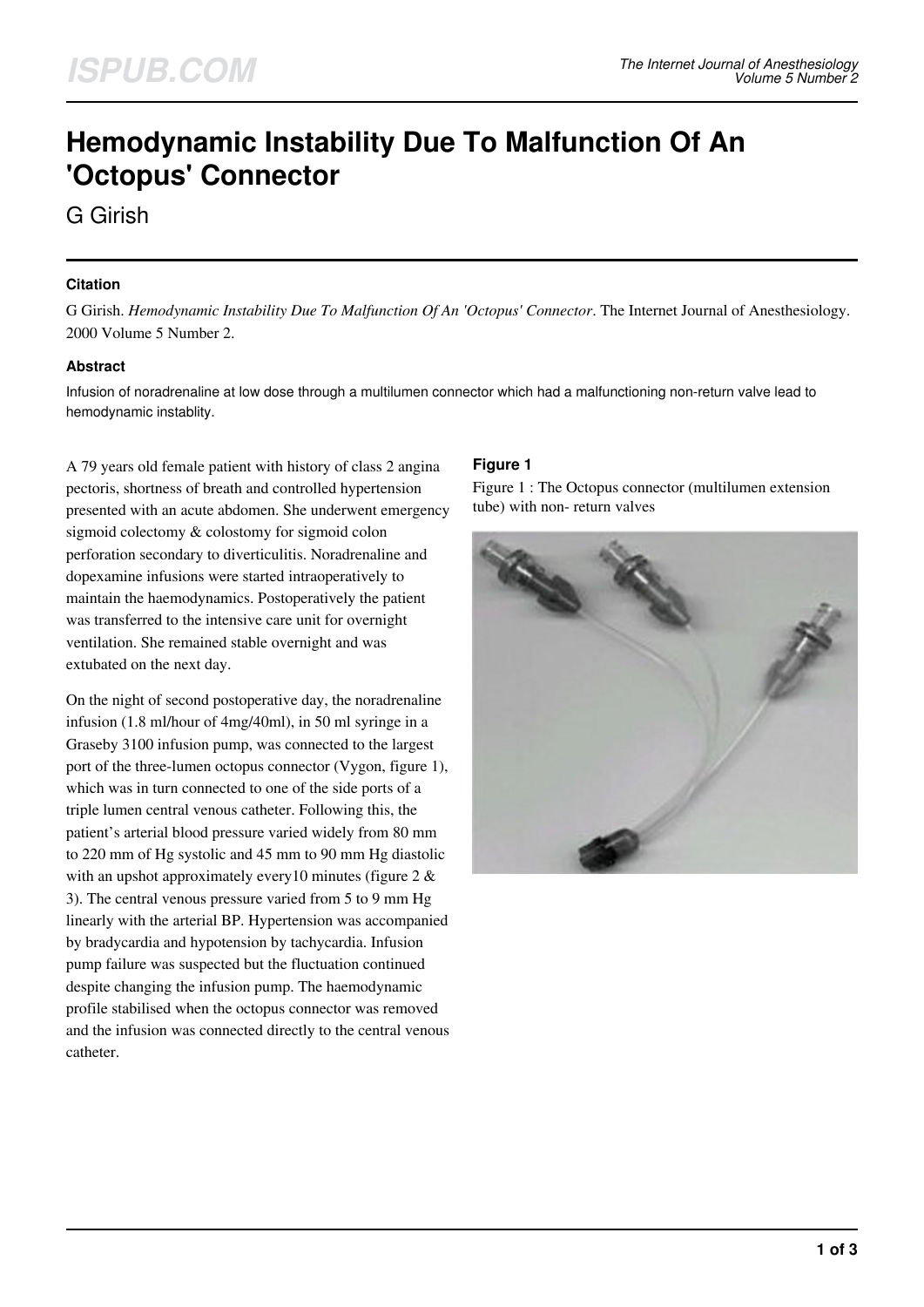# **Hemodynamic Instability Due To Malfunction Of An 'Octopus' Connector**

G Girish

#### **Citation**

G Girish. *Hemodynamic Instability Due To Malfunction Of An 'Octopus' Connector*. The Internet Journal of Anesthesiology. 2000 Volume 5 Number 2.

#### **Abstract**

Infusion of noradrenaline at low dose through a multilumen connector which had a malfunctioning non-return valve lead to hemodynamic instablity.

A 79 years old female patient with history of class 2 angina pectoris, shortness of breath and controlled hypertension presented with an acute abdomen. She underwent emergency sigmoid colectomy & colostomy for sigmoid colon perforation secondary to diverticulitis. Noradrenaline and dopexamine infusions were started intraoperatively to maintain the haemodynamics. Postoperatively the patient was transferred to the intensive care unit for overnight ventilation. She remained stable overnight and was extubated on the next day.

On the night of second postoperative day, the noradrenaline infusion (1.8 ml/hour of 4mg/40ml), in 50 ml syringe in a Graseby 3100 infusion pump, was connected to the largest port of the three-lumen octopus connector (Vygon, figure 1), which was in turn connected to one of the side ports of a triple lumen central venous catheter. Following this, the patient's arterial blood pressure varied widely from 80 mm to 220 mm of Hg systolic and 45 mm to 90 mm Hg diastolic with an upshot approximately every 10 minutes (figure 2  $\&$ 3). The central venous pressure varied from 5 to 9 mm Hg linearly with the arterial BP. Hypertension was accompanied by bradycardia and hypotension by tachycardia. Infusion pump failure was suspected but the fluctuation continued despite changing the infusion pump. The haemodynamic profile stabilised when the octopus connector was removed and the infusion was connected directly to the central venous catheter.

## **Figure 1**

Figure 1 : The Octopus connector (multilumen extension tube) with non- return valves

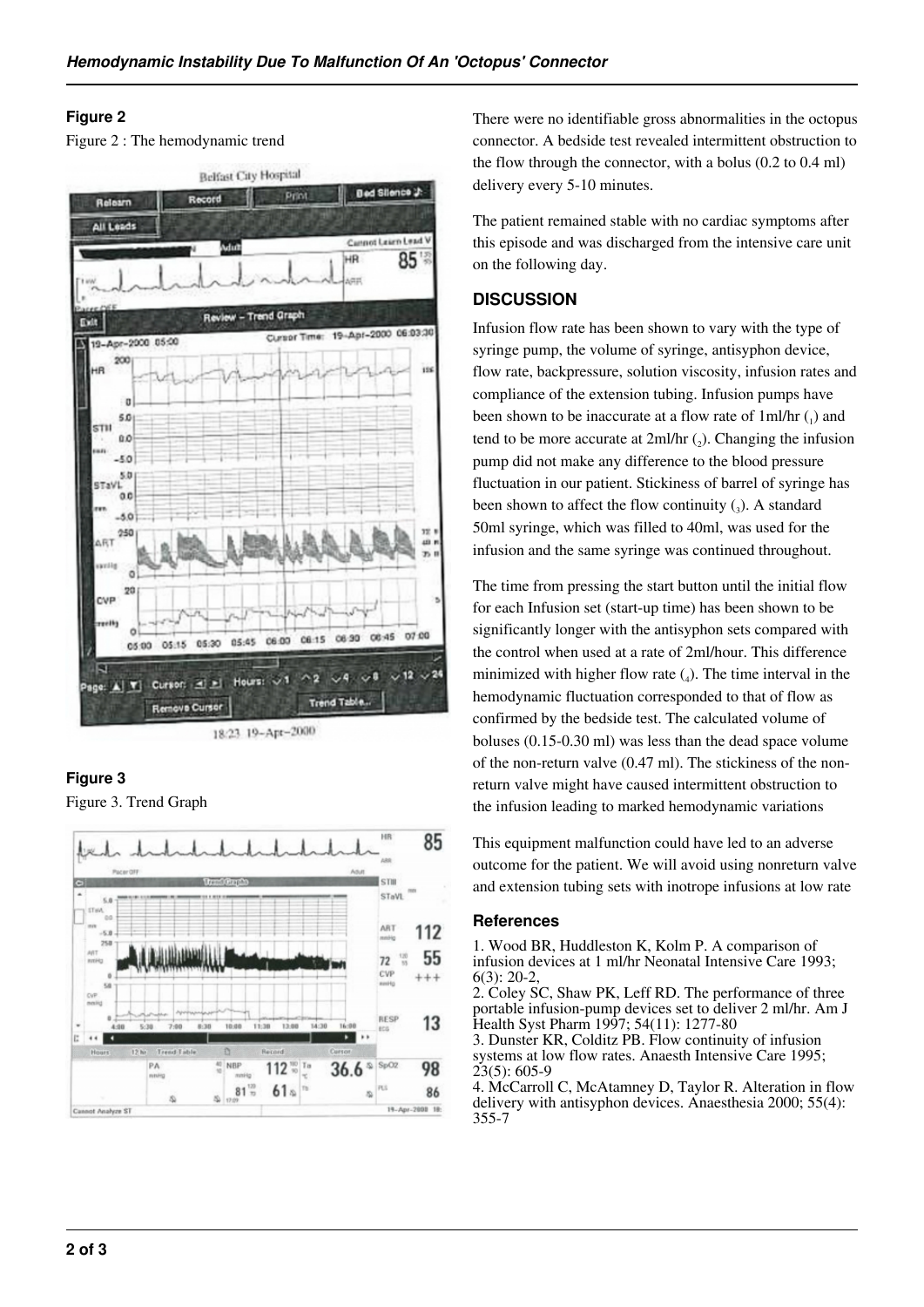### **Figure 2**

Figure 2 : The hemodynamic trend



## **Figure 3**

Figure 3. Trend Graph



There were no identifiable gross abnormalities in the octopus connector. A bedside test revealed intermittent obstruction to the flow through the connector, with a bolus (0.2 to 0.4 ml) delivery every 5-10 minutes.

The patient remained stable with no cardiac symptoms after this episode and was discharged from the intensive care unit on the following day.

## **DISCUSSION**

Infusion flow rate has been shown to vary with the type of syringe pump, the volume of syringe, antisyphon device, flow rate, backpressure, solution viscosity, infusion rates and compliance of the extension tubing. Infusion pumps have been shown to be inaccurate at a flow rate of  $1ml/hr$  ( $_1$ ) and tend to be more accurate at  $2ml/hr$  (2). Changing the infusion pump did not make any difference to the blood pressure fluctuation in our patient. Stickiness of barrel of syringe has been shown to affect the flow continuity  $\left( \frac{1}{3} \right)$ . A standard 50ml syringe, which was filled to 40ml, was used for the infusion and the same syringe was continued throughout.

The time from pressing the start button until the initial flow for each Infusion set (start-up time) has been shown to be significantly longer with the antisyphon sets compared with the control when used at a rate of 2ml/hour. This difference minimized with higher flow rate  $\binom{1}{4}$ . The time interval in the hemodynamic fluctuation corresponded to that of flow as confirmed by the bedside test. The calculated volume of boluses (0.15-0.30 ml) was less than the dead space volume of the non-return valve (0.47 ml). The stickiness of the nonreturn valve might have caused intermittent obstruction to the infusion leading to marked hemodynamic variations

This equipment malfunction could have led to an adverse outcome for the patient. We will avoid using nonreturn valve and extension tubing sets with inotrope infusions at low rate

#### **References**

1. Wood BR, Huddleston K, Kolm P. A comparison of infusion devices at 1 ml/hr Neonatal Intensive Care 1993;  $6(3)$ : 20-2.

2. Coley SC, Shaw PK, Leff RD. The performance of three portable infusion-pump devices set to deliver 2 ml/hr. Am J Health Syst Pharm 1997; 54(11): 1277-80

3. Dunster KR, Colditz PB. Flow continuity of infusion systems at low flow rates. Anaesth Intensive Care 1995;  $23(5): 605-9$ 

4. McCarroll C, McAtamney D, Taylor R. Alteration in flow delivery with antisyphon devices. Anaesthesia 2000; 55(4): 355-7